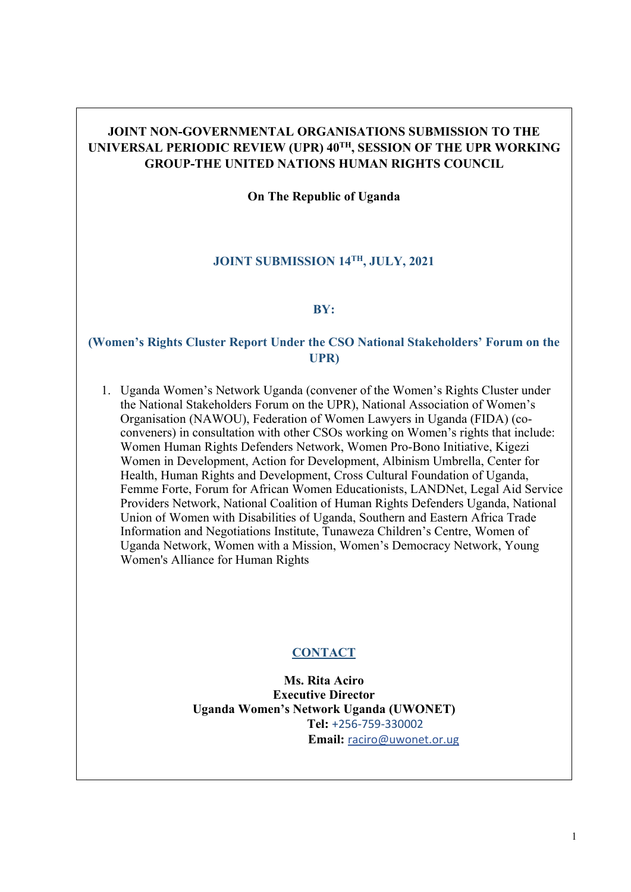# **JOINT NON-GOVERNMENTAL ORGANISATIONS SUBMISSION TO THE UNIVERSAL PERIODIC REVIEW (UPR) 40TH , SESSION OF THE UPR WORKING GROUP-THE UNITED NATIONS HUMAN RIGHTS COUNCIL**

**On The Republic of Uganda**

# **JOINT SUBMISSION 14TH , JULY, 2021**

# **BY:**

# **(Women'<sup>s</sup> Rights Cluster Report Under the CSO National Stakeholders' Forum on the UPR)**

1. Uganda Women'<sup>s</sup> Network Uganda (convener of the Women'<sup>s</sup> Rights Cluster under the National Stakeholders Forum on the UPR), National Association of Women'<sup>s</sup> Organisation (NAWOU), Federation of Women Lawyers in Uganda (FIDA) (coconveners) in consultation with other CSOs working on Women'<sup>s</sup> rights that include: Women Human Rights Defenders Network, Women Pro-Bono Initiative, Kigezi Women in Development, Action for Development, Albinism Umbrella, Center for Health, Human Rights and Development, Cross Cultural Foundation of Uganda, Femme Forte, Forum for African Women Educationists, LANDNet, Legal Aid Service Providers Network, National Coalition of Human Rights Defenders Uganda, National Union of Women with Disabilities of Uganda, Southern and Eastern Africa Trade Information and Negotiations Institute, Tunaweza Children'<sup>s</sup> Centre, Women of Uganda Network, Women with <sup>a</sup> Mission, Women'<sup>s</sup> Democracy Network, Young Women's Alliance for Human Rights

# **CONTACT**

**Ms. Rita Aciro Executive Director Uganda Women'<sup>s</sup> Network Uganda (UWONET) Tel:** +256-759-330002 **Email:** [raciro@uwonet.or.ug](mailto:raciro@uwonet.or.ug)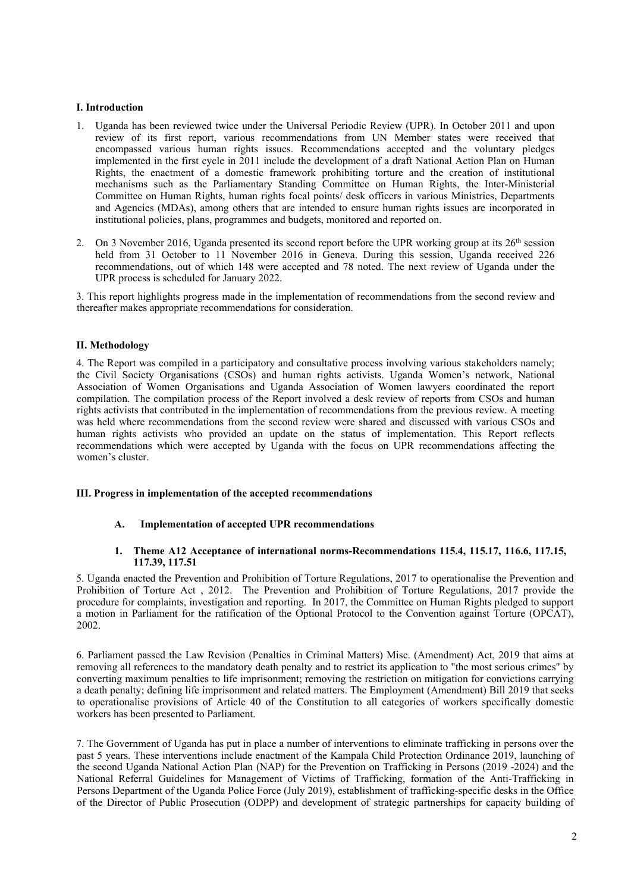# **I. Introduction**

- 1. Uganda has been reviewed twice under the Universal Periodic Review (UPR). In October 2011 and upon review of its first report, various recommendations from UN Member states were received that encompassed various human rights issues. Recommendations accepted and the voluntary pledges implemented in the first cycle in 2011 include the development of <sup>a</sup> draft National Action Plan on Human Rights, the enactment of <sup>a</sup> domestic framework prohibiting torture and the creation of institutional mechanisms such as the Parliamentary Standing Committee on Human Rights, the Inter-Ministerial Committee on Human Rights, human rights focal points/ desk officers in various Ministries, Departments and Agencies (MDAs), among others that are intended to ensure human rights issues are incorporated in institutional policies, plans, programmes and budgets, monitored and reported on.
- 2. On 3 November 2016, Uganda presented its second report before the UPR working group at its  $26<sup>th</sup>$  session held from 31 October to 11 November 2016 in Geneva. During this session, Uganda received 226 recommendations, out of which 148 were accepted and 78 noted. The next review of Uganda under the UPR process is scheduled for January 2022.

3. This repor<sup>t</sup> highlights progress made in the implementation of recommendations from the second review and thereafter makes appropriate recommendations for consideration.

# **II. Methodology**

4. The Report was compiled in <sup>a</sup> participatory and consultative process involving various stakeholders namely; the Civil Society Organisations (CSOs) and human rights activists. Uganda Women'<sup>s</sup> network, National Association of Women Organisations and Uganda Association of Women lawyers coordinated the repor<sup>t</sup> compilation. The compilation process of the Report involved <sup>a</sup> desk review of reports from CSOs and human rights activists that contributed in the implementation of recommendations from the previous review. Ameeting was held where recommendations from the second review were shared and discussed with various CSOs and human rights activists who provided an update on the status of implementation. This Report reflects recommendations which were accepted by Uganda with the focus on UPR recommendations affecting the women'<sup>s</sup> cluster.

# **III. Progress in implementation of the accepted recommendations**

# **A. Implementation of accepted UPR recommendations**

# **1. Theme A12 Acceptance of international norms-Recommendations 115.4, 115.17, 116.6, 117.15, 117.39, 117.51**

5. Uganda enacted the Prevention and Prohibition of Torture Regulations, 2017 to operationalise the Prevention and Prohibition of Torture Act , 2012. The Prevention and Prohibition of Torture Regulations, 2017 provide the procedure for complaints, investigation and reporting. In 2017, the Committee on Human Rights pledged to suppor<sup>t</sup> <sup>a</sup> motion in Parliament for the ratification of the Optional Protocol to the Convention against Torture (OPCAT), 2002.

6. Parliament passed the Law Revision (Penalties in Criminal Matters) Misc. (Amendment) Act, 2019 that aims at removing all references to the mandatory death penalty and to restrict its application to "the most serious crimes" by converting maximum penalties to life imprisonment; removing the restriction on mitigation for convictions carrying <sup>a</sup> death penalty; defining life imprisonment and related matters. The Employment (Amendment) Bill 2019 that seeks to operationalise provisions of Article 40 of the Constitution to all categories of workers specifically domestic workers has been presented to Parliament.

7. The Government of Uganda has pu<sup>t</sup> in place <sup>a</sup> number of interventions to eliminate trafficking in persons over the pas<sup>t</sup> 5 years. These interventions include enactment of the Kampala Child Protection Ordinance 2019, launching of the second Uganda National Action Plan (NAP) for the Prevention on Trafficking in Persons (2019 -2024) and the National Referral Guidelines for Management of Victims of Trafficking, formation of the Anti-Trafficking in Persons Department of the Uganda Police Force (July 2019), establishment of trafficking-specific desks in the Office of the Director of Public Prosecution (ODPP) and development of strategic partnerships for capacity building of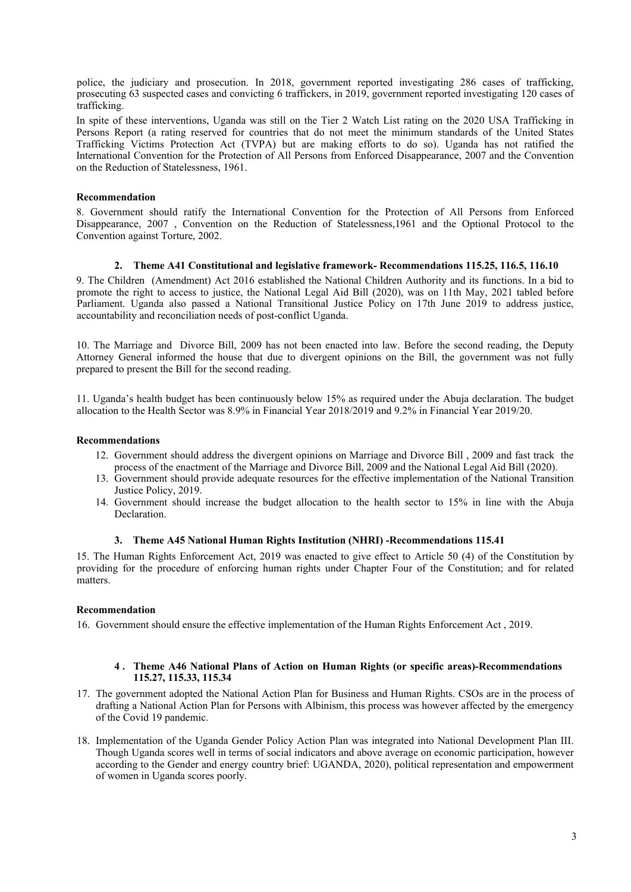police, the judiciary and prosecution. In 2018, governmen<sup>t</sup> reported investigating 286 cases of trafficking, prosecuting 63 suspected cases and convicting 6 traffickers, in 2019, governmen<sup>t</sup> reported investigating 120 cases of trafficking.

In spite of these interventions, Uganda was still on the Tier 2 Watch List rating on the 2020 USA Trafficking in Persons Report (a rating reserved for countries that do not meet the minimum standards of the United States Trafficking Victims Protection Act (TVPA) but are making efforts to do so). Uganda has not ratified the International Convention for the Protection of All Persons from Enforced Disappearance, 2007 and the Convention on the Reduction of Statelessness, 1961.

# **Recommendation**

8. Government should ratify the International Convention for the Protection of All Persons from Enforced Disappearance, 2007 , Convention on the Reduction of Statelessness,1961 and the Optional Protocol to the Convention against Torture, 2002.

# **2. Theme A41 Constitutional and legislative framework- Recommendations 115.25, 116.5, 116.10**

9. The Children (Amendment) Act 2016 established the National Children Authority and its functions. In <sup>a</sup> bid to promote the right to access to justice, the National Legal Aid Bill (2020), was on 11th May, 2021 tabled before Parliament. Uganda also passed <sup>a</sup> National Transitional Justice Policy on 17th June 2019 to address justice, accountability and reconciliation needs of post-conflict Uganda.

10. The Marriage and Divorce Bill, 2009 has not been enacted into law. Before the second reading, the Deputy Attorney General informed the house that due to divergent opinions on the Bill, the governmen<sup>t</sup> was not fully prepared to presen<sup>t</sup> the Bill for the second reading.

11. Uganda'<sup>s</sup> health budget has been continuously below 15% as required under the Abuja declaration. The budget allocation to the Health Sector was 8.9% in Financial Year 2018/2019 and 9.2% in Financial Year 2019/20.

# **Recommendations**

- 12. Government should address the divergent opinions on Marriage and Divorce Bill , 2009 and fast track the process of the enactment of the Marriage and Divorce Bill, 2009 and the National Legal Aid Bill (2020).
- 13. Government should provide adequate resources for the effective implementation of the National Transition Justice Policy, 2019.
- 14. Government should increase the budget allocation to the health sector to 15% in line with the Abuja Declaration.

#### **3. Theme A45 National Human Rights Institution (NHRI) -Recommendations 115.41**

15. The Human Rights Enforcement Act, 2019 was enacted to give effect to Article 50 (4) of the Constitution by providing for the procedure of enforcing human rights under Chapter Four of the Constitution; and for related matters.

# **Recommendation**

16. Government should ensure the effective implementation of the Human Rights Enforcement Act , 2019.

# **4 . Theme A46 National Plans of Action on Human Rights (or specific areas)-Recommendations 115.27, 115.33, 115.34**

- 17. The governmen<sup>t</sup> adopted the National Action Plan for Business and Human Rights. CSOs are in the process of drafting <sup>a</sup> National Action Plan for Persons with Albinism, this process was however affected by the emergency of the Covid 19 pandemic.
- 18. Implementation of the Uganda Gender Policy Action Plan was integrated into National Development Plan III. Though Uganda scores well in terms of social indicators and above average on economic participation, however according to the Gender and energy country brief: UGANDA, 2020), political representation and empowermen<sup>t</sup> of women in Uganda scores poorly.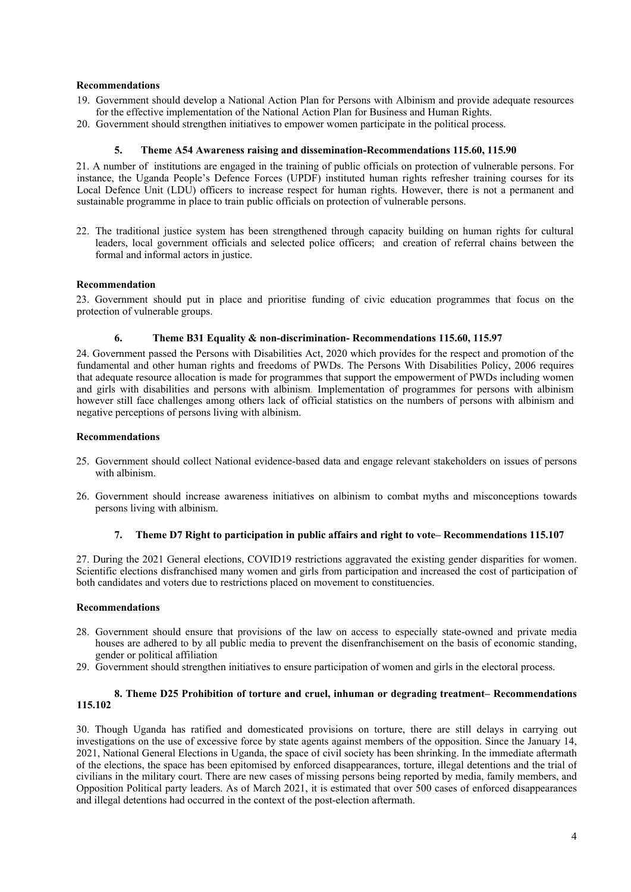# **Recommendations**

- 19. Government should develop <sup>a</sup> National Action Plan for Persons with Albinism and provide adequate resources for the effective implementation of the National Action Plan for Business and Human Rights.
- 20. Government should strengthen initiatives to empower women participate in the political process.

#### **5. Theme A54 Awareness raising and dissemination-Recommendations 115.60, 115.90**

21. Anumber of institutions are engaged in the training of public officials on protection of vulnerable persons. For instance, the Uganda People'<sup>s</sup> Defence Forces (UPDF) instituted human rights refresher training courses for its Local Defence Unit (LDU) officers to increase respec<sup>t</sup> for human rights. However, there is not <sup>a</sup> permanen<sup>t</sup> and sustainable programme in place to train public officials on protection of vulnerable persons.

22. The traditional justice system has been strengthened through capacity building on human rights for cultural leaders, local governmen<sup>t</sup> officials and selected police officers; and creation of referral chains between the formal and informal actors in justice.

#### **Recommendation**

23. Government should pu<sup>t</sup> in place and prioritise funding of civic education programmes that focus on the protection of vulnerable groups.

#### **6. Theme B31 Equality & non-discrimination- Recommendations 115.60, 115.97**

24. Government passed the Persons with Disabilities Act, 2020 which provides for the respec<sup>t</sup> and promotion of the fundamental and other human rights and freedoms of PWDs. The Persons With Disabilities Policy, 2006 requires that adequate resource allocation is made for programmes that suppor<sup>t</sup> the empowermen<sup>t</sup> of PWDs including women and girls with disabilities and persons with albinism. Implementation of programmes for persons with albinism however still face challenges among others lack of official statistics on the numbers of persons with albinism and negative perceptions of persons living with albinism.

#### **Recommendations**

- 25. Government should collect National evidence-based data and engage relevant stakeholders on issues of persons with albinism.
- 26. Government should increase awareness initiatives on albinism to combat myths and misconceptions towards persons living with albinism.

#### **7. Theme D7 Right to participation in public affairs and right to vote– Recommendations 115.107**

27. During the 2021 General elections, COVID19 restrictions aggravated the existing gender disparities for women. Scientific elections disfranchised many women and girls from participation and increased the cost of participation of both candidates and voters due to restrictions placed on movement to constituencies.

#### **Recommendations**

- 28. Government should ensure that provisions of the law on access to especially state-owned and private media houses are adhered to by all public media to preven<sup>t</sup> the disenfranchisement on the basis of economic standing, gender or political affiliation
- 29. Government should strengthen initiatives to ensure participation of women and girls in the electoral process.

# **8. Theme D25 Prohibition of torture and cruel, inhuman or degrading treatment– Recommendations 115.102**

30. Though Uganda has ratified and domesticated provisions on torture, there are still delays in carrying out investigations on the use of excessive force by state agents against members of the opposition. Since the January 14, 2021, National General Elections in Uganda, the space of civil society has been shrinking. In the immediate aftermath of the elections, the space has been epitomised by enforced disappearances, torture, illegal detentions and the trial of civilians in the military court. There are new cases of missing persons being reported by media, family members, and Opposition Political party leaders. As of March 2021, it is estimated that over 500 cases of enforced disappearances and illegal detentions had occurred in the context of the post-election aftermath.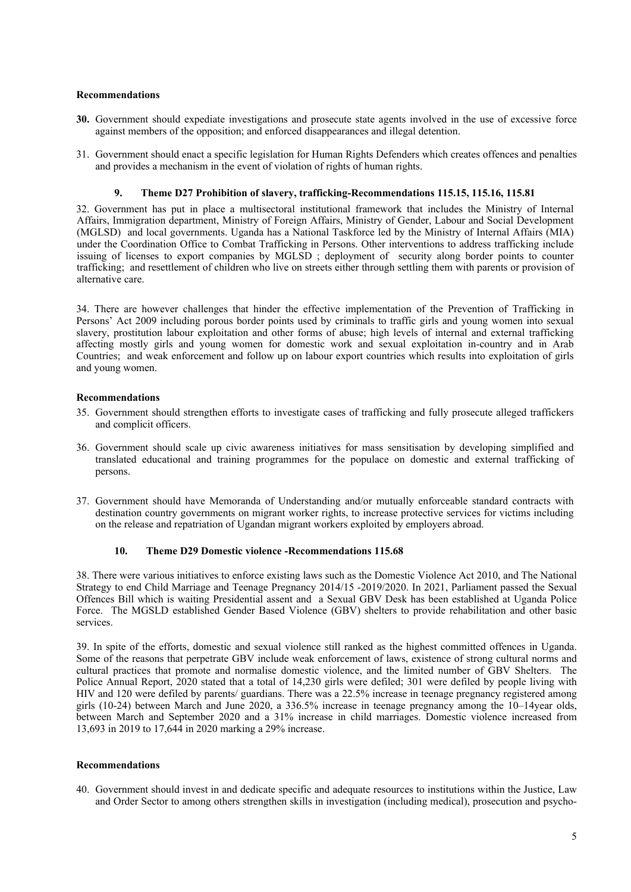# **Recommendations**

- **30.** Government should expediate investigations and prosecute state agents involved in the use of excessive force against members of the opposition; and enforced disappearances and illegal detention.
- 31. Government should enact <sup>a</sup> specific legislation for Human Rights Defenders which creates offences and penalties and provides <sup>a</sup> mechanism in the event of violation of rights of human rights.

# **9. Theme D27 Prohibition of slavery, trafficking-Recommendations 115.15, 115.16, 115.81**

32. Government has pu<sup>t</sup> in place <sup>a</sup> multisectoral institutional framework that includes the Ministry of Internal Affairs, Immigration department, Ministry of Foreign Affairs, Ministry of Gender, Labour and Social Development (MGLSD) and local governments. Uganda has <sup>a</sup> National Taskforce led by the Ministry of Internal Affairs (MIA) under the Coordination Office to Combat Trafficking in Persons. Other interventions to address trafficking include issuing of licenses to expor<sup>t</sup> companies by MGLSD ; deployment of security along border points to counter trafficking; and resettlement of children who live on streets either through settling them with parents or provision of alternative care.

34. There are however challenges that hinder the effective implementation of the Prevention of Trafficking in Persons' Act 2009 including porous border points used by criminals to traffic girls and young women into sexual slavery, prostitution labour exploitation and other forms of abuse; high levels of internal and external trafficking affecting mostly girls and young women for domestic work and sexual exploitation in-country and in Arab Countries; and weak enforcement and follow up on labour expor<sup>t</sup> countries which results into exploitation of girls and young women.

# **Recommendations**

- 35. Government should strengthen efforts to investigate cases of trafficking and fully prosecute alleged traffickers and complicit officers.
- 36. Government should scale up civic awareness initiatives for mass sensitisation by developing simplified and translated educational and training programmes for the populace on domestic and external trafficking of persons.
- 37. Government should have Memoranda of Understanding and/or mutually enforceable standard contracts with destination country governments on migrant worker rights, to increase protective services for victims including on the release and repatriation of Ugandan migrant workers exploited by employers abroad.

# **10. Theme D29 Domestic violence -Recommendations 115.68**

38. There were various initiatives to enforce existing laws such as the Domestic Violence Act 2010, and The National Strategy to end Child Marriage and Teenage Pregnancy 2014/15 -2019/2020. In 2021, Parliament passed the Sexual Offences Bill which is waiting Presidential assent and <sup>a</sup> Sexual GBV Desk has been established at Uganda Police Force. The MGSLD established Gender Based Violence (GBV) shelters to provide rehabilitation and other basic services.

39. In spite of the efforts, domestic and sexual violence still ranked as the highest committed offences in Uganda. Some of the reasons that perpetrate GBV include weak enforcement of laws, existence of strong cultural norms and cultural practices that promote and normalise domestic violence, and the limited number of GBV Shelters. The Police Annual Report, 2020 stated that <sup>a</sup> total of 14,230 girls were defiled; 301 were defiled by people living with HIV and 120 were defiled by parents/ guardians. There was <sup>a</sup> 22.5% increase in teenage pregnancy registered among girls (10-24) between March and June 2020, <sup>a</sup> 336.5% increase in teenage pregnancy among the 10–14year olds, between March and September 2020 and <sup>a</sup> 31% increase in child marriages. Domestic violence increased from 13,693 in 2019 to 17,644 in 2020 marking <sup>a</sup> 29% increase.

### **Recommendations**

40. Government should invest in and dedicate specific and adequate resources to institutions within the Justice, Law and Order Sector to among others strengthen skills in investigation (including medical), prosecution and psycho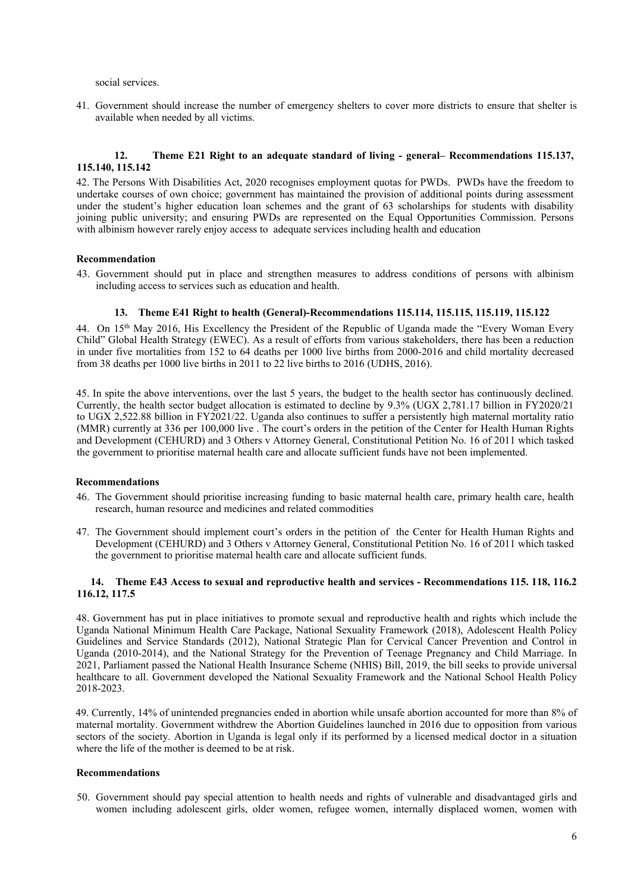social services.

41. Government should increase the number of emergency shelters to cover more districts to ensure that shelter is available when needed by all victims.

# **12. Theme E21 Right to an adequate standard of living - general– Recommendations 115.137, 115.140, 115.142**

42. The Persons With Disabilities Act, 2020 recognises employment quotas for PWDs. PWDs have the freedom to undertake courses of own choice; governmen<sup>t</sup> has maintained the provision of additional points during assessment under the student'<sup>s</sup> higher education loan schemes and the gran<sup>t</sup> of 63 scholarships for students with disability joining public university; and ensuring PWDs are represented on the Equal Opportunities Commission. Persons with albinism however rarely enjoy access to adequate services including health and education

#### **Recommendation**

43. Government should pu<sup>t</sup> in place and strengthen measures to address conditions of persons with albinism including access to services such as education and health.

### **13. Theme E41 Right to health (General)-Recommendations 115.114, 115.115, 115.119, 115.122**

44. On 15th May 2016, His Excellency the President of the Republic of Uganda made the "Every Woman Every Child" Global Health Strategy (EWEC). As <sup>a</sup> result of efforts from various stakeholders, there has been <sup>a</sup> reduction in under five mortalities from 152 to 64 deaths per 1000 live births from 2000-2016 and child mortality decreased from 38 deaths per 1000 live births in 2011 to 22 live births to 2016 (UDHS, 2016).

45. In spite the above interventions, over the last 5 years, the budget to the health sector has continuously declined. Currently, the health sector budget allocation is estimated to decline by 9.3% (UGX 2,781.17 billion in FY2020/21 to UGX 2,522.88 billion in FY2021/22. Uganda also continues to suffer <sup>a</sup> persistently high maternal mortality ratio (MMR) currently at 336 per 100,000 live . The court'<sup>s</sup> orders in the petition of the Center for Health Human Rights and Development (CEHURD) and 3 Others <sup>v</sup> Attorney General, Constitutional Petition No. 16 of 2011 which tasked the governmen<sup>t</sup> to prioritise maternal health care and allocate sufficient funds have not been implemented.

### **Recommendations**

- 46. The Government should prioritise increasing funding to basic maternal health care, primary health care, health research, human resource and medicines and related commodities
- 47. The Government should implement court'<sup>s</sup> orders in the petition of the Center for Health Human Rights and Development (CEHURD) and 3 Others <sup>v</sup> Attorney General, Constitutional Petition No. 16 of 2011 which tasked the governmen<sup>t</sup> to prioritise maternal health care and allocate sufficient funds.

#### **14. Theme E43 Access to sexual and reproductive health and services - Recommendations 115. 118, 116.2 116.12, 117.5**

48. Government has pu<sup>t</sup> in place initiatives to promote sexual and reproductive health and rights which include the Uganda National Minimum Health Care Package, National Sexuality Framework (2018), Adolescent Health Policy Guidelines and Service Standards (2012), National Strategic Plan for Cervical Cancer Prevention and Control in Uganda (2010-2014), and the National Strategy for the Prevention of Teenage Pregnancy and Child Marriage. In 2021, Parliament passed the National Health Insurance Scheme (NHIS) Bill, 2019, the bill seeks to provide universal healthcare to all. Government developed the National Sexuality Framework and the National School Health Policy 2018-2023.

49. Currently, 14% of unintended pregnancies ended in abortion while unsafe abortion accounted for more than 8% of maternal mortality. Government withdrew the Abortion Guidelines launched in 2016 due to opposition from various sectors of the society. Abortion in Uganda is legal only if its performed by <sup>a</sup> licensed medical doctor in <sup>a</sup> situation where the life of the mother is deemed to be at risk.

#### **Recommendations**

50. Government should pay special attention to health needs and rights of vulnerable and disadvantaged girls and women including adolescent girls, older women, refugee women, internally displaced women, women with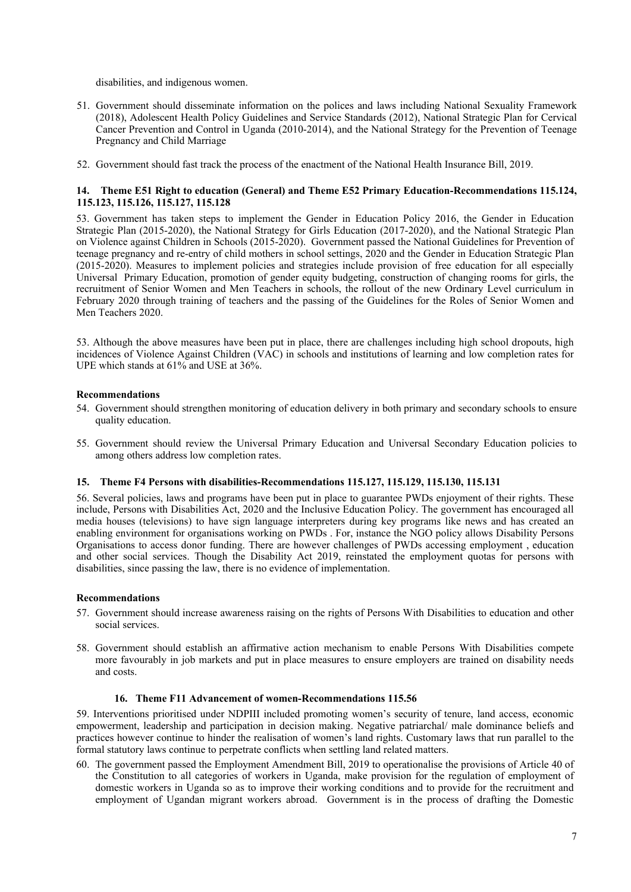disabilities, and indigenous women.

- 51. Government should disseminate information on the polices and laws including National Sexuality Framework (2018), Adolescent Health Policy Guidelines and Service Standards (2012), National Strategic Plan for Cervical Cancer Prevention and Control in Uganda (2010-2014), and the National Strategy for the Prevention of Teenage Pregnancy and Child Marriage
- 52. Government should fast track the process of the enactment of the National Health Insurance Bill, 2019.

# **14. Theme E51 Right to education (General) and Theme E52 Primary Education-Recommendations 115.124, 115.123, 115.126, 115.127, 115.128**

53. Government has taken steps to implement the Gender in Education Policy 2016, the Gender in Education Strategic Plan (2015-2020), the National Strategy for Girls Education (2017-2020), and the National Strategic Plan on Violence against Children in Schools (2015-2020). Government passed the National Guidelines for Prevention of teenage pregnancy and re-entry of child mothers in school settings, 2020 and the Gender in Education Strategic Plan (2015-2020). Measures to implement policies and strategies include provision of free education for all especially Universal Primary Education, promotion of gender equity budgeting, construction of changing rooms for girls, the recruitment of Senior Women and Men Teachers in schools, the rollout of the new Ordinary Level curriculum in February 2020 through training of teachers and the passing of the Guidelines for the Roles of Senior Women and Men Teachers 2020.

53. Although the above measures have been pu<sup>t</sup> in place, there are challenges including high school dropouts, high incidences of Violence Against Children (VAC) in schools and institutions of learning and low completion rates for UPE which stands at 61% and USE at 36%.

# **Recommendations**

- 54. Government should strengthen monitoring of education delivery in both primary and secondary schools to ensure quality education.
- 55. Government should review the Universal Primary Education and Universal Secondary Education policies to among others address low completion rates.

# **15. Theme F4 Persons with disabilities-Recommendations 115.127, 115.129, 115.130, 115.131**

56. Several policies, laws and programs have been pu<sup>t</sup> in place to guarantee PWDs enjoyment of their rights. These include, Persons with Disabilities Act, 2020 and the Inclusive Education Policy. The governmen<sup>t</sup> has encouraged all media houses (televisions) to have sign language interpreters during key programs like news and has created an enabling environment for organisations working on PWDs . For, instance the NGO policy allows Disability Persons Organisations to access donor funding. There are however challenges of PWDs accessing employment , education and other social services. Though the Disability Act 2019, reinstated the employment quotas for persons with disabilities, since passing the law, there is no evidence of implementation.

# **Recommendations**

- 57. Government should increase awareness raising on the rights of Persons With Disabilities to education and other social services.
- 58. Government should establish an affirmative action mechanism to enable Persons With Disabilities compete more favourably in job markets and pu<sup>t</sup> in place measures to ensure employers are trained on disability needs and costs.

# **16. Theme F11 Advancement of women-Recommendations 115.56**

59. Interventions prioritised under NDPIII included promoting women'<sup>s</sup> security of tenure, land access, economic empowerment, leadership and participation in decision making. Negative patriarchal/ male dominance beliefs and practices however continue to hinder the realisation of women'<sup>s</sup> land rights. Customary laws that run parallel to the formal statutory laws continue to perpetrate conflicts when settling land related matters.

60. The governmen<sup>t</sup> passed the Employment Amendment Bill, 2019 to operationalise the provisions of Article 40 of the Constitution to all categories of workers in Uganda, make provision for the regulation of employment of domestic workers in Uganda so as to improve their working conditions and to provide for the recruitment and employment of Ugandan migrant workers abroad. Government is in the process of drafting the Domestic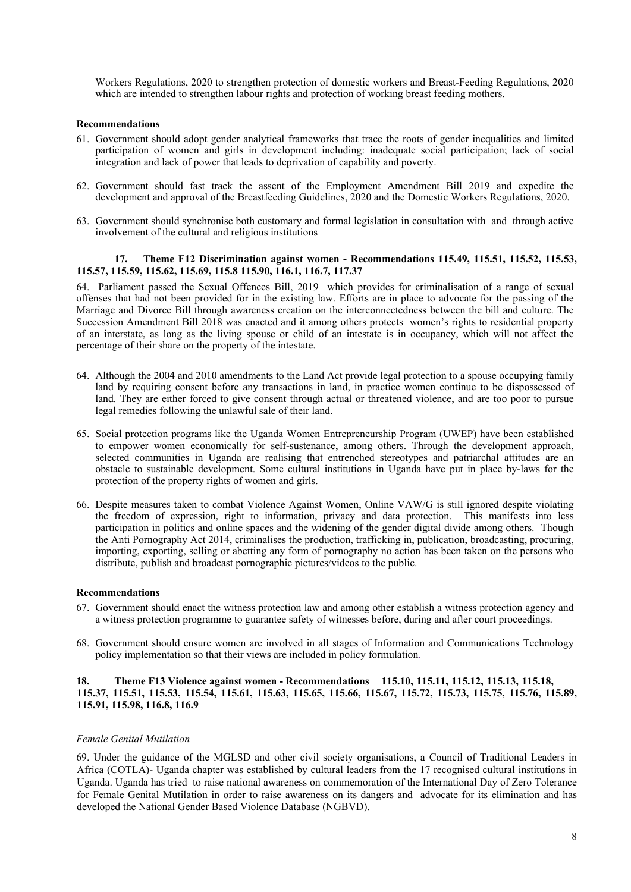Workers Regulations, 2020 to strengthen protection of domestic workers and Breast-Feeding Regulations, 2020 which are intended to strengthen labour rights and protection of working breast feeding mothers.

# **Recommendations**

- 61. Government should adopt gender analytical frameworks that trace the roots of gender inequalities and limited participation of women and girls in development including: inadequate social participation; lack of social integration and lack of power that leads to deprivation of capability and poverty.
- 62. Government should fast track the assent of the Employment Amendment Bill 2019 and expedite the development and approval of the Breastfeeding Guidelines, 2020 and the Domestic Workers Regulations, 2020.
- 63. Government should synchronise both customary and formal legislation in consultation with and through active involvement of the cultural and religious institutions

#### **17. Theme F12 Discrimination against women - Recommendations 115.49, 115.51, 115.52, 115.53, 115.57, 115.59, 115.62, 115.69, 115.8 115.90, 116.1, 116.7, 117.37**

64. Parliament passed the Sexual Offences Bill, 2019 which provides for criminalisation of <sup>a</sup> range of sexual offenses that had not been provided for in the existing law. Efforts are in place to advocate for the passing of the Marriage and Divorce Bill through awareness creation on the interconnectedness between the bill and culture. The Succession Amendment Bill 2018 was enacted and it among others protects women'<sup>s</sup> rights to residential property of an interstate, as long as the living spouse or child of an intestate is in occupancy, which will not affect the percentage of their share on the property of the intestate.

- 64. Although the 2004 and 2010 amendments to the Land Act provide legal protection to <sup>a</sup> spouse occupying family land by requiring consent before any transactions in land, in practice women continue to be dispossessed of land. They are either forced to give consent through actual or threatened violence, and are too poor to pursue legal remedies following the unlawful sale of their land.
- 65. Social protection programs like the Uganda Women Entrepreneurship Program (UWEP) have been established to empower women economically for self-sustenance, among others. Through the development approach, selected communities in Uganda are realising that entrenched stereotypes and patriarchal attitudes are an obstacle to sustainable development. Some cultural institutions in Uganda have pu<sup>t</sup> in place by-laws for the protection of the property rights of women and girls.
- 66. Despite measures taken to combat Violence Against Women, Online VAW/G is still ignored despite violating the freedom of expression, right to information, privacy and data protection. This manifests into less participation in politics and online spaces and the widening of the gender digital divide among others. Though the Anti Pornography Act 2014, criminalises the production, trafficking in, publication, broadcasting, procuring, importing, exporting, selling or abetting any form of pornography no action has been taken on the persons who distribute, publish and broadcast pornographic pictures/videos to the public.

#### **Recommendations**

- 67. Government should enact the witness protection law and among other establish <sup>a</sup> witness protection agency and <sup>a</sup> witness protection programme to guarantee safety of witnesses before, during and after court proceedings.
- 68. Government should ensure women are involved in all stages of Information and Communications Technology policy implementation so that their views are included in policy formulation.

# **18. Theme F13 Violence against women - Recommendations 115.10, 115.11, 115.12, 115.13, 115.18, 115.37, 115.51, 115.53, 115.54, 115.61, 115.63, 115.65, 115.66, 115.67, 115.72, 115.73, 115.75, 115.76, 115.89, 115.91, 115.98, 116.8, 116.9**

#### *Female Genital Mutilation*

69. Under the guidance of the MGLSD and other civil society organisations, <sup>a</sup> Council of Traditional Leaders in Africa (COTLA)- Uganda chapter was established by cultural leaders from the 17 recognised cultural institutions in Uganda. Uganda has tried to raise national awareness on commemoration of the International Day of Zero Tolerance for Female Genital Mutilation in order to raise awareness on its dangers and advocate for its elimination and has developed the National Gender Based Violence Database (NGBVD).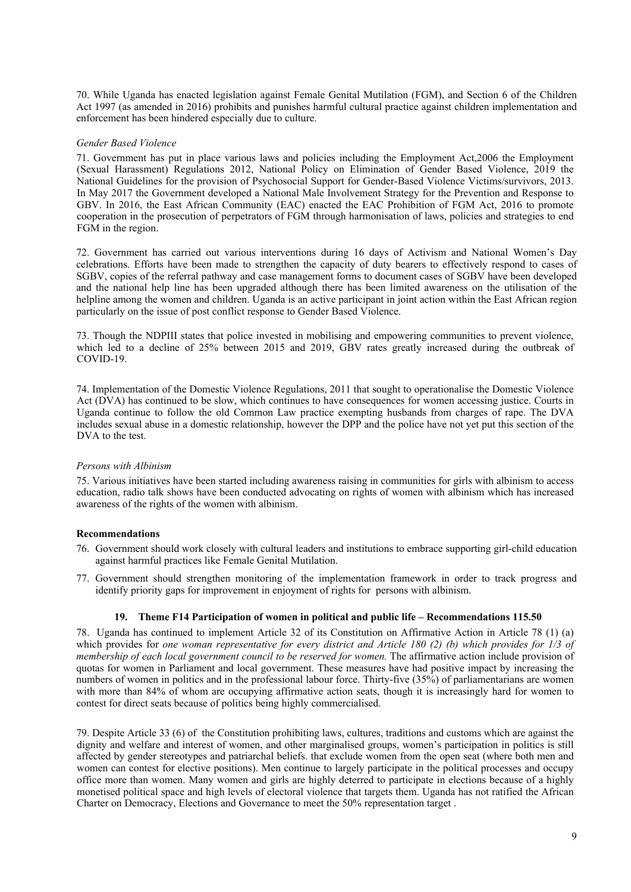70. While Uganda has enacted legislation against Female Genital Mutilation (FGM), and Section 6 of the Children Act 1997 (as amended in 2016) prohibits and punishes harmful cultural practice against children implementation and enforcement has been hindered especially due to culture.

# *Gender Based Violence*

71. Government has pu<sup>t</sup> in place various laws and policies including the Employment Act,2006 the Employment (Sexual Harassment) Regulations 2012, National Policy on Elimination of Gender Based Violence, 2019 the National Guidelines for the provision of Psychosocial Support for Gender-Based Violence Victims/survivors, 2013. In May 2017 the Government developed <sup>a</sup> National Male Involvement Strategy for the Prevention and Response to GBV. In 2016, the East African Community (EAC) enacted the EAC Prohibition of FGM Act, 2016 to promote cooperation in the prosecution of perpetrators of FGM through harmonisation of laws, policies and strategies to end FGM in the region.

72. Government has carried out various interventions during 16 days of Activism and National Women'<sup>s</sup> Day celebrations. Efforts have been made to strengthen the capacity of duty bearers to effectively respond to cases of SGBV, copies of the referral pathway and case managemen<sup>t</sup> forms to document cases of SGBV have been developed and the national help line has been upgraded although there has been limited awareness on the utilisation of the helpline among the women and children. Uganda is an active participant in joint action within the East African region particularly on the issue of pos<sup>t</sup> conflict response to Gender Based Violence.

73. Though the NDPIII states that police invested in mobilising and empowering communities to preven<sup>t</sup> violence, which led to a decline of 25% between 2015 and 2019, GBV rates greatly increased during the outbreak of COVID-19.

74. Implementation of the Domestic Violence Regulations, 2011 that sought to operationalise the Domestic Violence Act (DVA) has continued to be slow, which continues to have consequences for women accessing justice. Courts in Uganda continue to follow the old Common Law practice exempting husbands from charges of rape. The DVA includes sexual abuse in <sup>a</sup> domestic relationship, however the DPP and the police have not ye<sup>t</sup> pu<sup>t</sup> this section of the DVA to the test.

# *Persons with Albinism*

75. Various initiatives have been started including awareness raising in communities for girls with albinism to access education, radio talk shows have been conducted advocating on rights of women with albinism which has increased awareness of the rights of the women with albinism.

# **Recommendations**

- 76. Government should work closely with cultural leaders and institutions to embrace supporting girl-child education against harmful practices like Female Genital Mutilation.
- 77. Government should strengthen monitoring of the implementation framework in order to track progress and identify priority gaps for improvement in enjoyment of rights for persons with albinism.

#### **19. Theme F14 Participation of women in political and public life – Recommendations 115.50**

78. Uganda has continued to implement Article 32 of its Constitution on Affirmative Action in Article 78 (1) (a) which provides for one woman representative for every district and Article 180 (2) (b) which provides for 1/3 of *membership of each local governmen<sup>t</sup> council to be reserved for women.* The affirmative action include provision of quotas for women in Parliament and local government. These measures have had positive impact by increasing the numbers of women in politics and in the professional labour force. Thirty-five (35%) of parliamentarians are women with more than 84% of whom are occupying affirmative action seats, though it is increasingly hard for women to contest for direct seats because of politics being highly commercialised.

79. Despite Article 33 (6) of the Constitution prohibiting laws, cultures, traditions and customs which are against the dignity and welfare and interest of women, and other marginalised groups, women'<sup>s</sup> participation in politics is still affected by gender stereotypes and patriarchal beliefs. that exclude women from the open seat (where both men and women can contest for elective positions). Men continue to largely participate in the political processes and occupy office more than women. Many women and girls are highly deterred to participate in elections because of <sup>a</sup> highly monetised political space and high levels of electoral violence that targets them. Uganda has not ratified the African Charter on Democracy, Elections and Governance to meet the 50% representation target .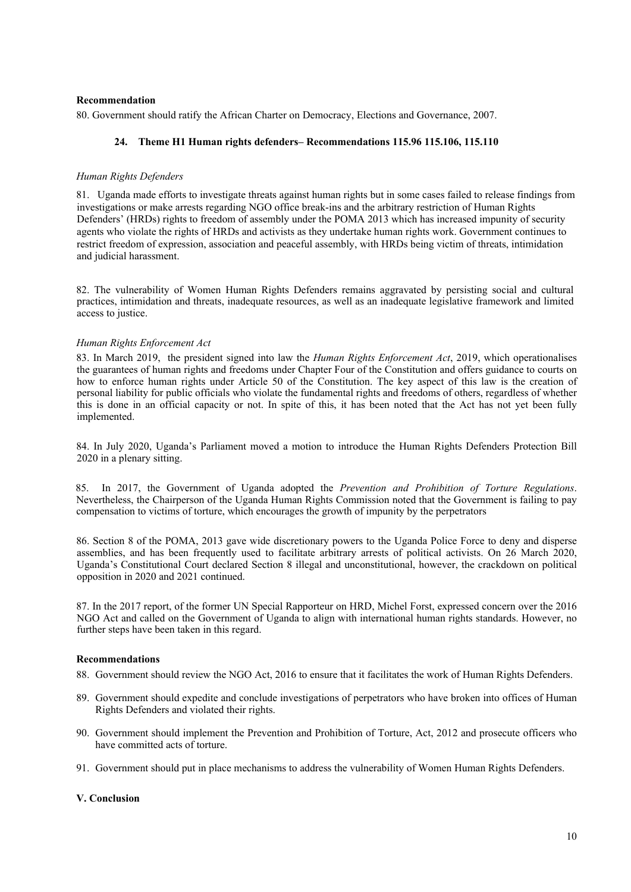# **Recommendation**

80. Government should ratify the African Charter on Democracy, Elections and Governance, 2007.

# **24. Theme H1 Human rights defenders– Recommendations 115.96 115.106, 115.110**

# *Human Rights Defenders*

81. Uganda made efforts to investigate threats against human rights but in some cases failed to release findings from investigations or make arrests regarding NGO office break-ins and the arbitrary restriction of Human Rights Defenders' (HRDs) rights to freedom of assembly under the POMA 2013 which has increased impunity of security agents who violate the rights of HRDs and activists as they undertake human rights work. Government continues to restrict freedom of expression, association and peaceful assembly, with HRDs being victim of threats, intimidation and judicial harassment.

82. The vulnerability of Women Human Rights Defenders remains aggravated by persisting social and cultural practices, intimidation and threats, inadequate resources, as well as an inadequate legislative framework and limited access to justice.

# *Human Rights Enforcement Act*

83. In March 2019, the president signed into law the *Human Rights Enforcement Act*, 2019, which operationalises the guarantees of human rights and freedoms under Chapter Four of the Constitution and offers guidance to courts on how to enforce human rights under Article 50 of the Constitution. The key aspec<sup>t</sup> of this law is the creation of personal liability for public officials who violate the fundamental rights and freedoms of others, regardless of whether this is done in an official capacity or not. In spite of this, it has been noted that the Act has not ye<sup>t</sup> been fully implemented.

84. In July 2020, Uganda'<sup>s</sup> Parliament moved <sup>a</sup> motion to introduce the Human Rights Defenders Protection Bill 2020 in <sup>a</sup> plenary sitting.

85. In 2017, the Government of Uganda adopted the *Prevention and Prohibition of Torture Regulations*. Nevertheless, the Chairperson of the Uganda Human Rights Commission noted that the Government is failing to pay compensation to victims of torture, which encourages the growth of impunity by the perpetrators

86. Section 8 of the POMA, 2013 gave wide discretionary powers to the Uganda Police Force to deny and disperse assemblies, and has been frequently used to facilitate arbitrary arrests of political activists. On 26 March 2020, Uganda'<sup>s</sup> Constitutional Court declared Section 8 illegal and unconstitutional, however, the crackdown on political opposition in 2020 and 2021 continued.

87. In the 2017 report, of the former UN Special Rapporteur on HRD, Michel Forst, expressed concern over the 2016 NGO Act and called on the Government of Uganda to align with international human rights standards. However, no further steps have been taken in this regard.

#### **Recommendations**

- 88. Government should review the NGO Act, 2016 to ensure that it facilitates the work of Human Rights Defenders.
- 89. Government should expedite and conclude investigations of perpetrators who have broken into offices of Human Rights Defenders and violated their rights.
- 90. Government should implement the Prevention and Prohibition of Torture, Act, 2012 and prosecute officers who have committed acts of torture.
- 91. Government should pu<sup>t</sup> in place mechanisms to address the vulnerability of Women Human Rights Defenders.

# **V. Conclusion**